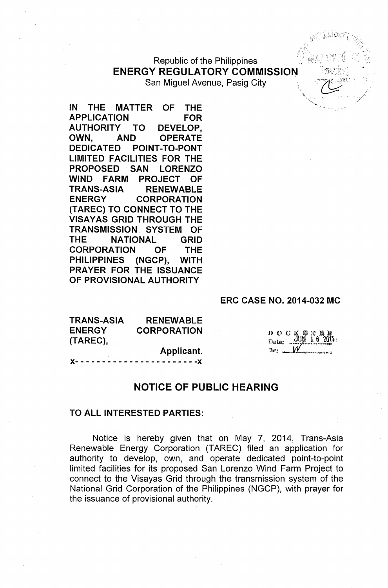Republic of the Philippines **ENERGY REGULATORY COMMISSION** San Miguel Avenue, Pasig City

**IN THE MATTER OF THE APPLICATION FOR AUTHORITY TO DEVELOP, OWN, AND OPERATE DEDICATED POINT-TO-PONT LIMITED FACILITIES FOR THE PROPOSED SAN LORENZO WIND FARM PROJECT OF TRANS-ASIA RENEWABLE ENERGY CORPORATION (TAREC) TO CONNECT TO THE VISAYAS GRID THROUGH THE TRANSMISSION SYSTEM OF THE NATIONAL GRID CORPORATION OF THE PHILIPPINES (NGCP), WITH PRAYER FOR THE ISSUANCE OF PROVISIONAL AUTHORITY**

#### **ERC CASE NO. 2014-032 MC**

| <b>TRANS-ASIA</b> | <b>RENEWABLE</b>                  |
|-------------------|-----------------------------------|
| <b>ENERGY</b>     | <b>CORPORATION</b>                |
| (TAREC),          |                                   |
|                   | Applicant.                        |
|                   | X----------------------- <b>X</b> |

 $D$  O C K BT. Date: ..

# **NOTICE OF PUBLIC HEARING**

#### **TO ALL INTERESTED PARTIES:**

Notice is hereby given that on May 7, 2014, Trans-Asia Renewable Energy Corporation (TAREC) filed an application for authority to develop, own, and operate dedicated point-to-point limited facilities for its proposed San Lorenzo Wind Farm Project to connect to the Visayas Grid through the transmission system of the National Grid Corporation of the Philippines (NGCP), with prayer for the issuance of provisional authority.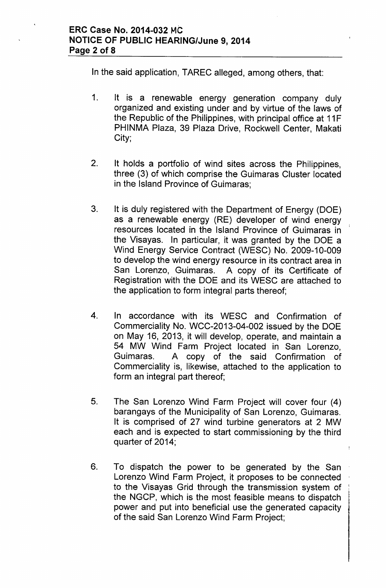In the said application, TAREC alleged, among others, that:

- 1. It is a renewable energy generation company duly organized and existing under and by virtue of the laws of the Republic of the Philippines, with principal office at 11F PHINMA Plaza, 39 Plaza Drive, Rockwell Center, Makati City;
- 2. It holds a portfolio of wind sites across the Philippines, three (3) of which comprise the Guimaras Cluster located in the Island Province of Guimaras;
- 3. It is duly registered with the Department of Energy (DOE) as a renewable energy (RE) developer of wind energy resources located in the Island Province of Guimaras in the Visayas. In particular, it was granted by the DOE a Wind Energy Service Contract (WESC) No. 2009-10-009 to develop the wind energy resource in its contract area in San Lorenzo, Guimaras. A copy of its Certificate of Registration with the DOE and its WESC are attached to the application to form integral parts thereof;
- 4. In accordance with its WESC and Confirmation of Commerciality No. WCC-2013-04-002 issued by the DOE on May 16, 2013, it will develop, operate, and maintain a 54 MW Wind Farm Project located in San Lorenzo, Guimaras. A copy of the said Confirmation of Commerciality is, likewise, attached to the application to form an integral part thereof;
- 5. The San Lorenzo Wind Farm Project will cover four (4) barangays of the Municipality of San Lorenzo, Guimaras. It is comprised of 27 wind turbine generators at 2 MW each and is expected to start commissioning by the third quarter of 2014;
- 6. To dispatch the power to be generated by the San Lorenzo Wind Farm Project, it proposes to be connected to the Visayas Grid through the transmission system of the NGCP, which is the most feasible means to dispatch power and put into beneficial use the generated capacity of the said San Lorenzo Wind Farm Project;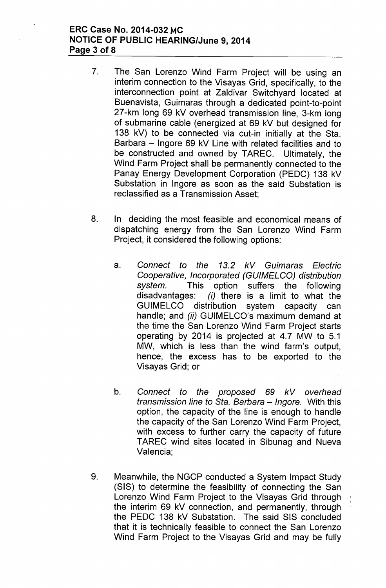### **ERC Case No. 2014-032 MC NOTICE OF PUBLIC HEARING/June 9, 2014 Page 3 of 8**

- 7. The San Lorenzo Wind Farm Project will be using an interim connection to the Visayas Grid, specifically, to the interconnection point at Zaldivar Switchyard located at Buenavista, Guimaras through a dedicated point-to-point 27-km long 69 kV overhead transmission line, 3-km long of submarine cable (energized at 69 kV but designed for 138 kV) to be connected via cut-in initially at the Sta. Barbara - Ingore 69 kV Line with related facilities and to be constructed and owned by TAREC. Ultimately, the Wind Farm Project shall be permanently connected to the Panay Energy Development Corporation (PEDC) 138 kV Substation in Ingore as soon as the said Substation is reclassified as a Transmission Asset;
- 8. In deciding the most feasible and economical means of dispatching energy from the San Lorenzo Wind Farm Project, it considered the following options:
	- a. *Connect to the* 13.2 *kV Guimaras Electric Cooperative, Incorporated (GUIMELCO) distribution system.* This option suffers the following disadvantages: *(i)* there is a limit to what the GUIMELCO distribution system capacity can handle; and *(ii)* GUIMELCO's maximum demand at the time the San Lorenzo Wind Farm Project starts operating by 2014 is projected at 4.7 MW to 5.1 MW, which is less than the wind farm's output, hence, the excess has to be exported to the Visayas Grid; or
	- b. *Connect to the proposed* 69 *kV overhead transmission line to Sta. Barbara - Ingore.* With this option, the capacity of the line is enough to handle the capacity of the San Lorenzo Wind Farm Project, with excess to further carry the capacity of future TAREC wind sites located in Sibunag and Nueva Valencia;
- 9. Meanwhile, the NGCP conducted a System Impact Study (SIS) to determine the feasibility of connecting the San Lorenzo Wind Farm Project to the Visayas Grid through the interim 69 kV connection, and permanently, through the PEDC 138 kV Substation. The said SIS concluded that it is technically feasible to connect the San Lorenzo Wind Farm Project to the Visayas Grid and may be fully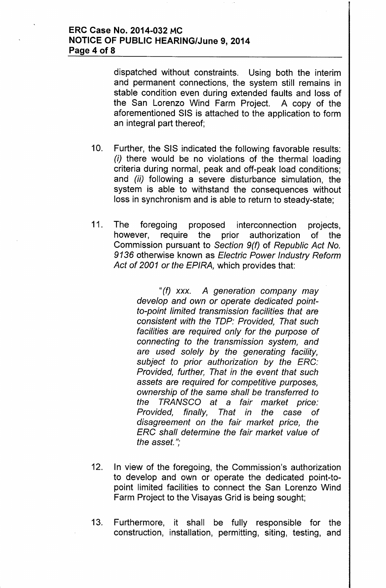### ERC Case No. 2014-032 MC NOTICE OF PUBLIC HEARING/June 9, 2014 Page 4 of 8

dispatched without constraints. Using both the interim and permanent connections, the system still remains in stable condition even during extended faults and loss of the San Lorenzo Wind Farm Project. A copy of the aforementioned SIS is attached to the application to form an integral part thereof;

- 10. Further, the SIS indicated the following favorable results: *(i)* there would be no violations of the thermal loading criteria during normal, peak and off-peak load conditions; and *(ii)* following a severe disturbance simulation, the system is able to withstand the consequences without loss in synchronism and is able to return to steady-state;
- 11. The foregoing proposed interconnection projects, however, require the prior authorization of the Commission pursuant to *Section 9(f)* of *Republic Act No.* 9136 otherwise known as *Electric Power Industry Reform Act* of *2001 or the EPIRA,* which provides that:

II*(f) xxx. A generation company may develop and own or operate dedicated pointto-point limited transmission facilities that are consistent with the TOP: Provided, That such facilities are required only for the purpose* of *connecting to the transmission system, and are used solely by the generating facility, subject to prior authorization by the ERG: Provided, further, That in the event that such assets are required for competitive purposes, ownership* of *the same shall be transferred to the TRANSGO at* a *fair market price: Provided, finally, That in the case* of *disagreement on the fair market price, the ERG shall determine the fair market value* of *the asset.";*

- 12. In view of the foregoing, the Commission's authorization to develop and own or operate the dedicated point-topoint limited facilities to connect the San Lorenzo Wind Farm Project to the Visayas Grid is being sought;
- 13. Furthermore, it shall be fully responsible for the construction, installation, permitting, siting, testing, and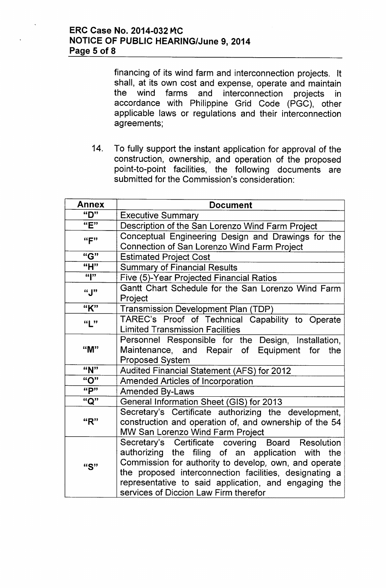financing of its wind farm and interconnection projects. It shall, at its own cost and expense, operate and maintain the wind farms and interconnection projects in accordance with Philippine Grid Code (PGC), other applicable laws or regulations and their interconnection agreements;

14. To fully support the instant application for approval of the construction, ownership, and operation of the proposed point-to-point facilities, the following documents are submitted for the Commission's consideration:

| <b>Annex</b>            | <b>Document</b>                                                                                                                                                                                                                                                                                                            |  |
|-------------------------|----------------------------------------------------------------------------------------------------------------------------------------------------------------------------------------------------------------------------------------------------------------------------------------------------------------------------|--|
| "D"                     | <b>Executive Summary</b>                                                                                                                                                                                                                                                                                                   |  |
| "E"                     | Description of the San Lorenzo Wind Farm Project                                                                                                                                                                                                                                                                           |  |
| ``F"                    | Conceptual Engineering Design and Drawings for the<br>Connection of San Lorenzo Wind Farm Project                                                                                                                                                                                                                          |  |
| "G"                     | <b>Estimated Project Cost</b>                                                                                                                                                                                                                                                                                              |  |
| "H"                     | <b>Summary of Financial Results</b>                                                                                                                                                                                                                                                                                        |  |
| $\overline{\mathbf{u}}$ | Five (5)-Year Projected Financial Ratios                                                                                                                                                                                                                                                                                   |  |
| "J"                     | Gantt Chart Schedule for the San Lorenzo Wind Farm<br>Project                                                                                                                                                                                                                                                              |  |
| "K"                     | <b>Transmission Development Plan (TDP)</b>                                                                                                                                                                                                                                                                                 |  |
| ``L"                    | TAREC's Proof of Technical Capability to Operate<br><b>Limited Transmission Facilities</b>                                                                                                                                                                                                                                 |  |
| "M"                     | Personnel Responsible for the Design, Installation,<br>Maintenance, and Repair of Equipment for<br>the<br><b>Proposed System</b>                                                                                                                                                                                           |  |
| "N"                     | Audited Financial Statement (AFS) for 2012                                                                                                                                                                                                                                                                                 |  |
| "O"                     | <b>Amended Articles of Incorporation</b>                                                                                                                                                                                                                                                                                   |  |
| "P"                     | <b>Amended By-Laws</b>                                                                                                                                                                                                                                                                                                     |  |
| "Q"                     | General Information Sheet (GIS) for 2013                                                                                                                                                                                                                                                                                   |  |
| "R"                     | Secretary's Certificate authorizing the development,<br>construction and operation of, and ownership of the 54<br>MW San Lorenzo Wind Farm Project                                                                                                                                                                         |  |
| "S"                     | Secretary's Certificate covering Board Resolution<br>authorizing the filing of an application with the<br>Commission for authority to develop, own, and operate<br>the proposed interconnection facilities, designating a<br>representative to said application, and engaging the<br>services of Diccion Law Firm therefor |  |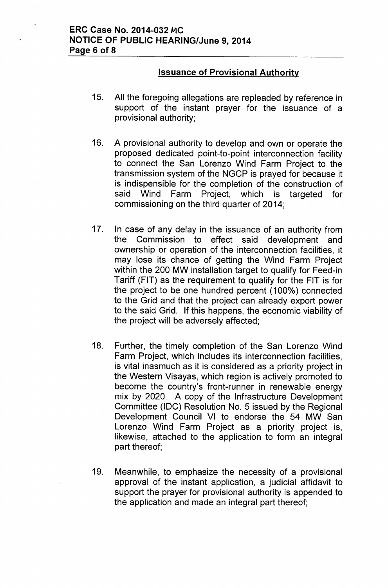## **Issuance of Provisional Authority**

- 15. All the foregoing allegations are repleaded by reference in support of the instant prayer for the issuance of a provisional authority;
- 16. A provisional authority to develop and own or operate the proposed dedicated point-to-point interconnection facility to connect the San Lorenzo Wind Farm Project to the transmission system of the NGCP is prayed for because it is indispensible for the completion of the construction of said Wind Farm Project, which is targeted for commissioning on the third quarter of 2014;
- 17. In case of any delay in the issuance of an authority from the Commission to effect said development and ownership or operation of the interconnection facilities, it may lose its chance of getting the Wind Farm Project within the 200 MW installation target to qualify for Feed-in Tariff (FIT) as the requirement to qualify for the FIT is for the project to be one hundred percent (100%) connected to the Grid and that the project can already export power to the said Grid. If this happens, the economic viability of the project will be adversely affected;
- 18. Further, the timely completion of the San Lorenzo Wind Farm Project, which includes its interconnection facilities, is vital inasmuch as it is considered as a priority project in the Western Visayas, which region is actively promoted to become the country's front-runner in renewable energy mix by 2020. A copy of the Infrastructure Development Committee (IDC) Resolution No. 5 issued by the Regional Development Council VI to endorse the 54 MW San Lorenzo Wind Farm Project as a priority project is, likewise, attached to the application to form an integral part thereof;
- 19. Meanwhile, to emphasize the necessity of a provisional approval of the instant application, a judicial affidavit to support the prayer for provisional authority is appended to the application and made an integral part thereof;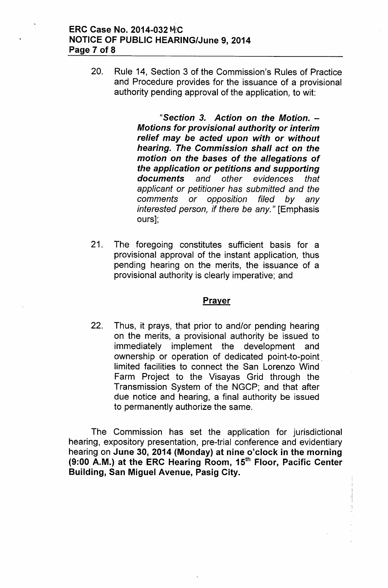20. Rule 14, Section 3 of the Commission's Rules of Practice and Procedure provides for the issuance of a provisional authority pending approval of the application, to wit:

> II*Section* 3. *Action on the Motion. - Motions for provisional authority or interim relief may be acted upon with or without hearing. The Commission shall act* on *the motion on the bases* of *the allegations* of *the application or petitions and supporting documents and other evidences that applicant or petitioner has submitted and the comments or opposition filed by any interested person, if there be any."* [Emphasis ours];

21. The foregoing constitutes sufficient basis for a provisional approval of the instant application, thus pending hearing on the merits, the issuance of a provisional authority is clearly imperative; and

#### **Prayer**

22. Thus, it prays, that prior to and/or pending hearing on the merits, a provisional authority be issued to immediately implement the development and ownership or operation of dedicated point-to-point. limited facilities to connect the San Lorenzo Wind Farm Project to the Visayas Grid through the Transmission System of the NGCP; and that after due notice and hearing, a final authority be issued to permanently authorize the same.

The Commission has set the application for jurisdictional hearing, expository presentation, pre-trial conference and evidentiary hearing on June 30, 2014 (Monday) at nine o'clock in the morning (9:00 A.M.) at the ERC Hearing Room, 15<sup>th</sup> Floor, Pacific Center Building, San Miguel Avenue, Pasig City.